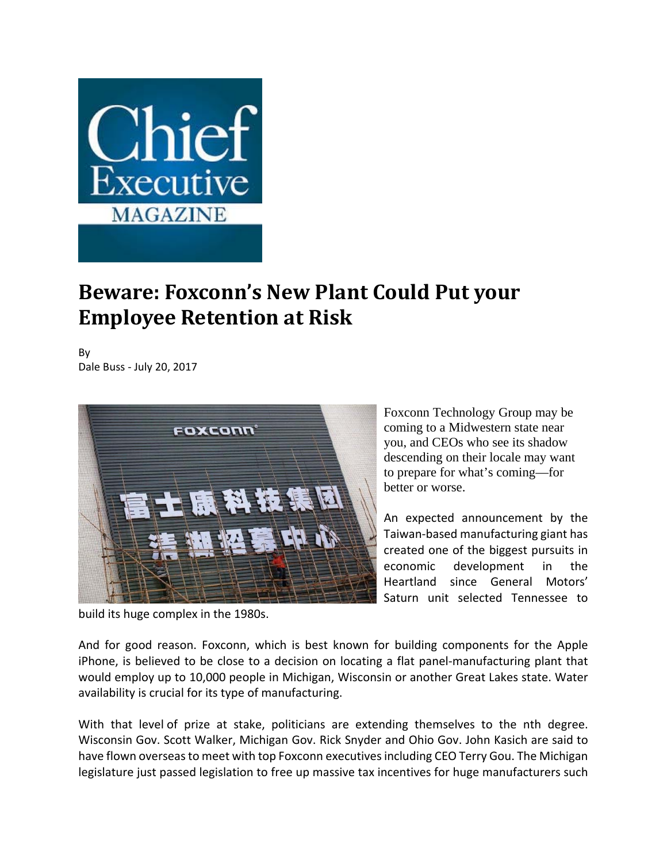

## **Beware: Foxconn's New Plant Could Put your Employee Retention at Risk**

By Dale Buss ‐ July 20, 2017



Foxconn Technology Group may be coming to a Midwestern state near you, and CEOs who see its shadow descending on their locale may want to prepare for what's coming—for better or worse.

An expected announcement by the Taiwan‐based manufacturing giant has created one of the biggest pursuits in economic development in the Heartland since General Motors' Saturn unit selected Tennessee to

build its huge complex in the 1980s.

And for good reason. Foxconn, which is best known for building components for the Apple iPhone, is believed to be close to a decision on locating a flat panel‐manufacturing plant that would employ up to 10,000 people in Michigan, Wisconsin or another Great Lakes state. Water availability is crucial for its type of manufacturing.

With that level of prize at stake, politicians are extending themselves to the nth degree. Wisconsin Gov. Scott Walker, Michigan Gov. Rick Snyder and Ohio Gov. John Kasich are said to have flown overseasto meet with top Foxconn executivesincluding CEO Terry Gou. The Michigan legislature just passed legislation to free up massive tax incentives for huge manufacturers such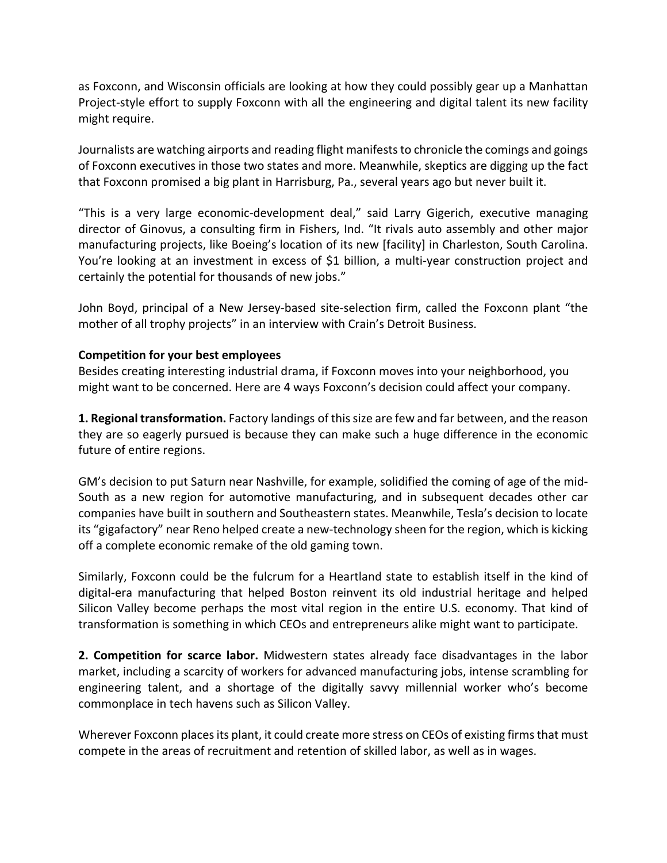as Foxconn, and Wisconsin officials are looking at how they could possibly gear up a Manhattan Project‐style effort to supply Foxconn with all the engineering and digital talent its new facility might require.

Journalists are watching airports and reading flight manifeststo chronicle the comings and goings of Foxconn executives in those two states and more. Meanwhile, skeptics are digging up the fact that Foxconn promised a big plant in Harrisburg, Pa., several years ago but never built it.

"This is a very large economic‐development deal," said Larry Gigerich, executive managing director of Ginovus, a consulting firm in Fishers, Ind. "It rivals auto assembly and other major manufacturing projects, like Boeing's location of its new [facility] in Charleston, South Carolina. You're looking at an investment in excess of \$1 billion, a multi‐year construction project and certainly the potential for thousands of new jobs."

John Boyd, principal of a New Jersey‐based site‐selection firm, called the Foxconn plant "the mother of all trophy projects" in an interview with Crain's Detroit Business.

## **Competition for your best employees**

Besides creating interesting industrial drama, if Foxconn moves into your neighborhood, you might want to be concerned. Here are 4 ways Foxconn's decision could affect your company.

**1. Regional transformation.** Factory landings of thissize are few and far between, and the reason they are so eagerly pursued is because they can make such a huge difference in the economic future of entire regions.

GM's decision to put Saturn near Nashville, for example, solidified the coming of age of the mid‐ South as a new region for automotive manufacturing, and in subsequent decades other car companies have built in southern and Southeastern states. Meanwhile, Tesla's decision to locate its "gigafactory" near Reno helped create a new-technology sheen for the region, which is kicking off a complete economic remake of the old gaming town.

Similarly, Foxconn could be the fulcrum for a Heartland state to establish itself in the kind of digital‐era manufacturing that helped Boston reinvent its old industrial heritage and helped Silicon Valley become perhaps the most vital region in the entire U.S. economy. That kind of transformation is something in which CEOs and entrepreneurs alike might want to participate.

**2. Competition for scarce labor.** Midwestern states already face disadvantages in the labor market, including a scarcity of workers for advanced manufacturing jobs, intense scrambling for engineering talent, and a shortage of the digitally savvy millennial worker who's become commonplace in tech havens such as Silicon Valley.

Wherever Foxconn places its plant, it could create more stress on CEOs of existing firms that must compete in the areas of recruitment and retention of skilled labor, as well as in wages.